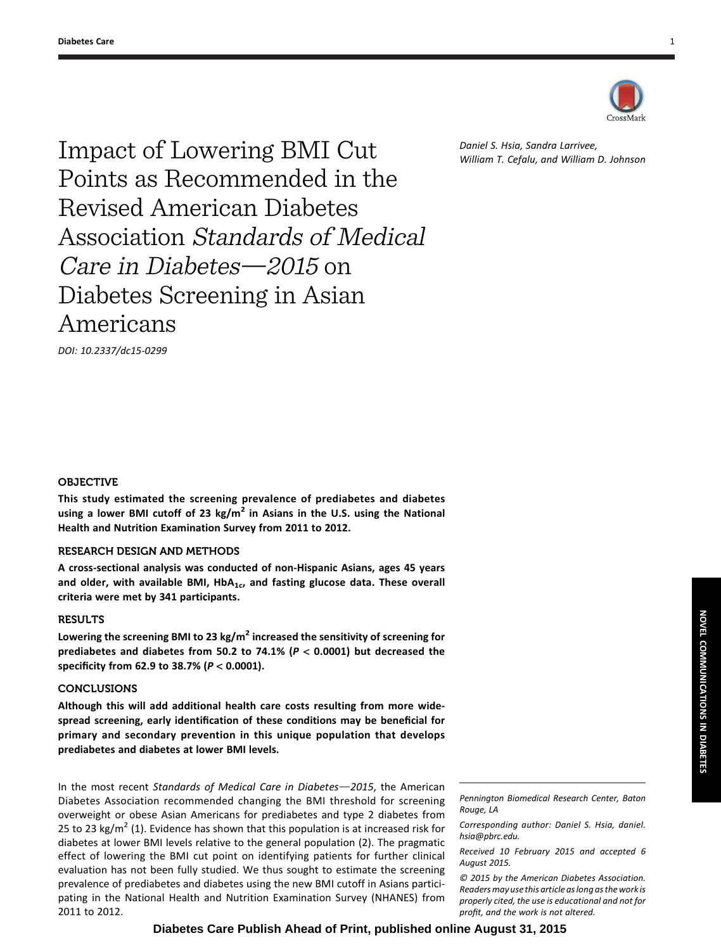

Impact of Lowering BMI Cut Points as Recommended in the Revised American Diabetes Association Standards of Medical Care in Diabetes $-2015$  on Diabetes Screening in Asian Americans

DOI: 10.2337/dc15-0299

# Daniel S. Hsia, Sandra Larrivee, William T. Cefalu, and William D. Johnson

### OBJECTIVE

This study estimated the screening prevalence of prediabetes and diabetes using a lower BMI cutoff of 23 kg/m<sup>2</sup> in Asians in the U.S. using the National Health and Nutrition Examination Survey from 2011 to 2012.

## RESEARCH DESIGN AND METHODS

A cross-sectional analysis was conducted of non-Hispanic Asians, ages 45 years and older, with available BMI,  $HbA_{1c}$ , and fasting glucose data. These overall criteria were met by 341 participants.

## **RESULTS**

Lowering the screening BMI to 23 kg/m<sup>2</sup> increased the sensitivity of screening for prediabetes and diabetes from 50.2 to 74.1% ( $P < 0.0001$ ) but decreased the specificity from 62.9 to 38.7% (P < 0.0001).

## CONCLUSIONS

Although this will add additional health care costs resulting from more widespread screening, early identification of these conditions may be beneficial for primary and secondary prevention in this unique population that develops prediabetes and diabetes at lower BMI levels.

In the most recent Standards of Medical Care in Diabetes $-2015$ , the American Diabetes Association recommended changing the BMI threshold for screening overweight or obese Asian Americans for prediabetes and type 2 diabetes from 25 to 23 kg/m<sup>2</sup> (1). Evidence has shown that this population is at increased risk for diabetes at lower BMI levels relative to the general population (2). The pragmatic effect of lowering the BMI cut point on identifying patients for further clinical evaluation has not been fully studied. We thus sought to estimate the screening prevalence of prediabetes and diabetes using the new BMI cutoff in Asians participating in the National Health and Nutrition Examination Survey (NHANES) from 2011 to 2012.

Pennington Biomedical Research Center, Baton Rouge, LA

Corresponding author: Daniel S. Hsia, [daniel.](mailto:daniel.hsia@pbrc.edu) [hsia@pbrc.edu](mailto:daniel.hsia@pbrc.edu).

Received 10 February 2015 and accepted 6 August 2015.

© 2015 by the American Diabetes Association. Readers may use this article as long as the work is properly cited, the use is educational and not for profit, and the work is not altered.

**Diabetes Care Publish Ahead of Print, published online August 31, 2015**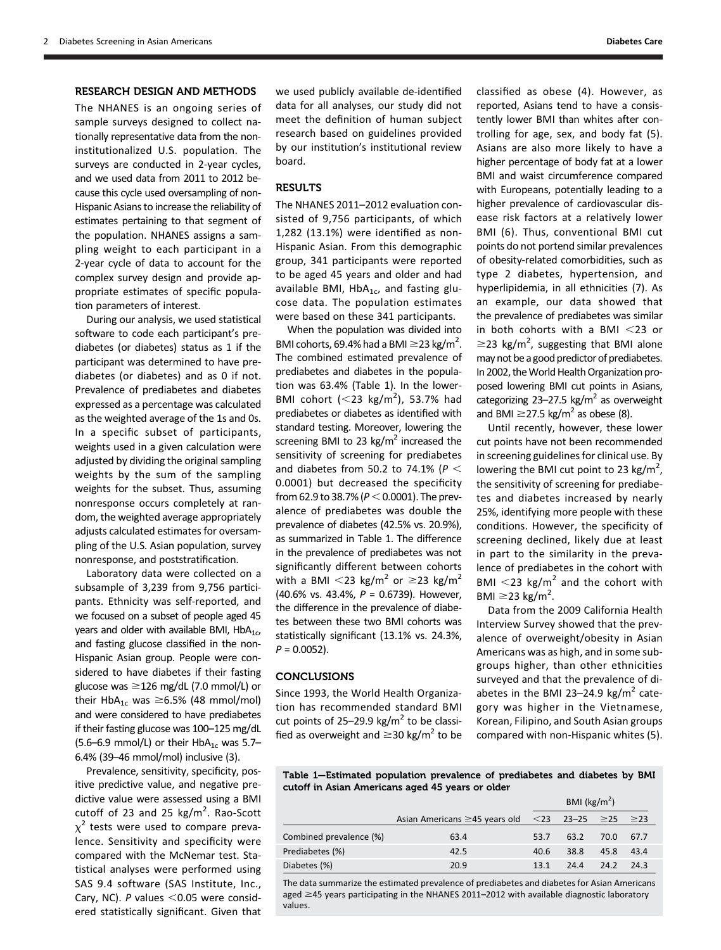### RESEARCH DESIGN AND METHODS

The NHANES is an ongoing series of sample surveys designed to collect nationally representative data from the noninstitutionalized U.S. population. The surveys are conducted in 2-year cycles, and we used data from 2011 to 2012 because this cycle used oversampling of non-Hispanic Asians to increase the reliability of estimates pertaining to that segment of the population. NHANES assigns a sampling weight to each participant in a 2-year cycle of data to account for the complex survey design and provide appropriate estimates of specific population parameters of interest.

During our analysis, we used statistical software to code each participant's prediabetes (or diabetes) status as 1 if the participant was determined to have prediabetes (or diabetes) and as 0 if not. Prevalence of prediabetes and diabetes expressed as a percentage was calculated as the weighted average of the 1s and 0s. In a specific subset of participants, weights used in a given calculation were adjusted by dividing the original sampling weights by the sum of the sampling weights for the subset. Thus, assuming nonresponse occurs completely at random, the weighted average appropriately adjusts calculated estimates for oversampling of the U.S. Asian population, survey nonresponse, and poststratification.

Laboratory data were collected on a subsample of 3,239 from 9,756 participants. Ethnicity was self-reported, and we focused on a subset of people aged 45 years and older with available BMI,  $HbA_{1c}$ , and fasting glucose classified in the non-Hispanic Asian group. People were considered to have diabetes if their fasting glucose was  $\geq$ 126 mg/dL (7.0 mmol/L) or their HbA<sub>1c</sub> was  $\geq$ 6.5% (48 mmol/mol) and were considered to have prediabetes if their fasting glucose was 100–125 mg/dL (5.6–6.9 mmol/L) or their HbA<sub>1c</sub> was 5.7– 6.4% (39–46 mmol/mol) inclusive (3).

Prevalence, sensitivity, specificity, positive predictive value, and negative predictive value were assessed using a BMI cutoff of 23 and 25  $\text{kg/m}^2$ . Rao-Scott  $\chi^2$  tests were used to compare prevalence. Sensitivity and specificity were compared with the McNemar test. Statistical analyses were performed using SAS 9.4 software (SAS Institute, Inc., Cary, NC). P values  $<$  0.05 were considered statistically significant. Given that

we used publicly available de-identified data for all analyses, our study did not meet the definition of human subject research based on guidelines provided by our institution's institutional review board.

# RESULTS

The NHANES 2011–2012 evaluation consisted of 9,756 participants, of which 1,282 (13.1%) were identified as non-Hispanic Asian. From this demographic group, 341 participants were reported to be aged 45 years and older and had available BMI, Hb $A_{1c}$ , and fasting glucose data. The population estimates were based on these 341 participants.

When the population was divided into BMI cohorts, 69.4% had a BMI  $\geq$ 23 kg/m<sup>2</sup>. The combined estimated prevalence of prediabetes and diabetes in the population was 63.4% (Table 1). In the lower-BMI cohort  $(<$  23 kg/m<sup>2</sup>), 53.7% had prediabetes or diabetes as identified with standard testing. Moreover, lowering the screening BMI to 23 kg/ $m<sup>2</sup>$  increased the sensitivity of screening for prediabetes and diabetes from 50.2 to 74.1% ( $P <$ 0.0001) but decreased the specificity from 62.9 to 38.7% ( $P < 0.0001$ ). The prevalence of prediabetes was double the prevalence of diabetes (42.5% vs. 20.9%), as summarized in Table 1. The difference in the prevalence of prediabetes was not significantly different between cohorts with a BMI  $<$ 23 kg/m<sup>2</sup> or  $\geq$ 23 kg/m<sup>2</sup> (40.6% vs. 43.4%, P = 0.6739). However, the difference in the prevalence of diabetes between these two BMI cohorts was statistically significant (13.1% vs. 24.3%,  $P = 0.0052$ ).

## CONCLUSIONS

Since 1993, the World Health Organization has recommended standard BMI cut points of 25–29.9 kg/ $m^2$  to be classified as overweight and  $\geq$ 30 kg/m<sup>2</sup> to be classified as obese (4). However, as reported, Asians tend to have a consistently lower BMI than whites after controlling for age, sex, and body fat (5). Asians are also more likely to have a higher percentage of body fat at a lower BMI and waist circumference compared with Europeans, potentially leading to a higher prevalence of cardiovascular disease risk factors at a relatively lower BMI (6). Thus, conventional BMI cut points do not portend similar prevalences of obesity-related comorbidities, such as type 2 diabetes, hypertension, and hyperlipidemia, in all ethnicities (7). As an example, our data showed that the prevalence of prediabetes was similar in both cohorts with a BMI  $<$ 23 or  $\geq$ 23 kg/m<sup>2</sup>, suggesting that BMI alone may not be a good predictor of prediabetes. In 2002, the World Health Organization proposed lowering BMI cut points in Asians, categorizing 23-27.5 kg/ $m^2$  as overweight and BMI  $\geq$ 27.5 kg/m<sup>2</sup> as obese (8).

Until recently, however, these lower cut points have not been recommended in screening guidelines for clinical use. By lowering the BMI cut point to 23  $\text{kg/m}^2$ , the sensitivity of screening for prediabetes and diabetes increased by nearly 25%, identifying more people with these conditions. However, the specificity of screening declined, likely due at least in part to the similarity in the prevalence of prediabetes in the cohort with BMI  $<$ 23 kg/m<sup>2</sup> and the cohort with BMI  $\geq$ 23 kg/m<sup>2</sup>.

Data from the 2009 California Health Interview Survey showed that the prevalence of overweight/obesity in Asian Americans was as high, and in some subgroups higher, than other ethnicities surveyed and that the prevalence of diabetes in the BMI 23-24.9 kg/ $m^2$  category was higher in the Vietnamese, Korean, Filipino, and South Asian groups compared with non-Hispanic whites (5).

Table 1—Estimated population prevalence of prediabetes and diabetes by BMI cutoff in Asian Americans aged 45 years or older

|                         |                                                                         | BMI ( $\text{kg/m}^2$ ) |      |      |      |
|-------------------------|-------------------------------------------------------------------------|-------------------------|------|------|------|
|                         | Asian Americans $\geq$ 45 years old $\leq$ 23 23–25 $\geq$ 25 $\geq$ 23 |                         |      |      |      |
| Combined prevalence (%) | 63.4                                                                    | 53.7                    | 63.2 | 70.0 | 67.7 |
| Prediabetes (%)         | 42.5                                                                    | 40.6                    | 38.8 | 45.8 | 43.4 |
| Diabetes (%)            | 20.9                                                                    | 13.1                    | 24.4 | 24.2 | 24.3 |

The data summarize the estimated prevalence of prediabetes and diabetes for Asian Americans aged  $\geq$ 45 years participating in the NHANES 2011–2012 with available diagnostic laboratory values.